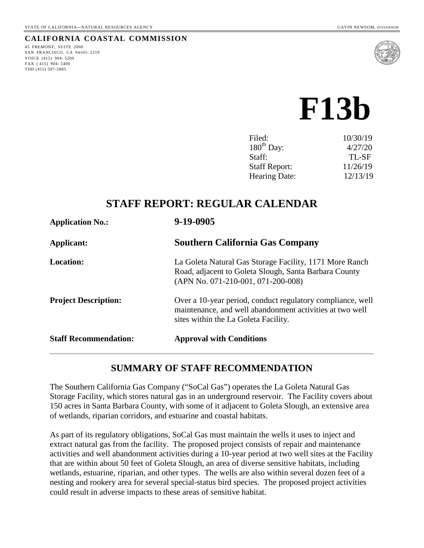#### **CALIFORNIA COASTAL COMMISSION**

45 FREMONT, SUITE 2000 SAN FRANCISCO, CA 94105- 2219 VOICE (415) 904- 5200 FAX ( 415) 904- 5400 TDD (415) 597-5885



# **F13b**

| Filed:                 | 10/30/19 |
|------------------------|----------|
| $180^{\text{th}}$ Day: | 4/27/20  |
| Staff:                 | TL-SF    |
| <b>Staff Report:</b>   | 11/26/19 |
| Hearing Date:          | 12/13/19 |
|                        |          |

# **STAFF REPORT: REGULAR CALENDAR**

| <b>Application No.:</b>      | 9-19-0905                                                                                                                                                      |
|------------------------------|----------------------------------------------------------------------------------------------------------------------------------------------------------------|
| Applicant:                   | <b>Southern California Gas Company</b>                                                                                                                         |
| <b>Location:</b>             | La Goleta Natural Gas Storage Facility, 1171 More Ranch<br>Road, adjacent to Goleta Slough, Santa Barbara County<br>(APN No. 071-210-001, 071-200-008)         |
| <b>Project Description:</b>  | Over a 10-year period, conduct regulatory compliance, well<br>maintenance, and well abandonment activities at two well<br>sites within the La Goleta Facility. |
| <b>Staff Recommendation:</b> | <b>Approval with Conditions</b>                                                                                                                                |

# **SUMMARY OF STAFF RECOMMENDATION**

The Southern California Gas Company ("SoCal Gas") operates the La Goleta Natural Gas Storage Facility, which stores natural gas in an underground reservoir. The Facility covers about 150 acres in Santa Barbara County, with some of it adjacent to Goleta Slough, an extensive area of wetlands, riparian corridors, and estuarine and coastal habitats.

As part of its regulatory obligations, SoCal Gas must maintain the wells it uses to inject and extract natural gas from the facility. The proposed project consists of repair and maintenance activities and well abandonment activities during a 10-year period at two well sites at the Facility that are within about 50 feet of Goleta Slough, an area of diverse sensitive habitats, including wetlands, estuarine, riparian, and other types. The wells are also within several dozen feet of a nesting and rookery area for several special-status bird species. The proposed project activities could result in adverse impacts to these areas of sensitive habitat.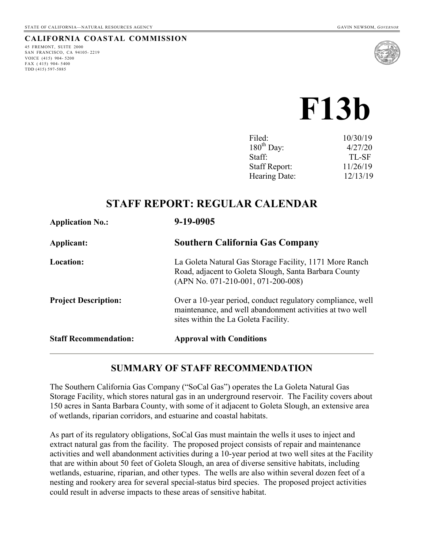#### **CALIFORNIA COASTAL COMMISSION**

45 FREMONT, SUITE 2000 SAN FRANCISCO, CA 94105- 2219 VOICE (415) 904- 5200 FAX ( 415) 904- 5400 TDD (415) 597-5885



# **F13b**

| Filed:               | 10/30/19 |
|----------------------|----------|
| $180^{th}$ Day:      | 4/27/20  |
| Staff:               | TL-SF    |
| <b>Staff Report:</b> | 11/26/19 |
| Hearing Date:        | 12/13/19 |
|                      |          |

# **STAFF REPORT: REGULAR CALENDAR**

| <b>Application No.:</b>      | 9-19-0905                                                                                                                                                      |
|------------------------------|----------------------------------------------------------------------------------------------------------------------------------------------------------------|
| Applicant:                   | <b>Southern California Gas Company</b>                                                                                                                         |
| <b>Location:</b>             | La Goleta Natural Gas Storage Facility, 1171 More Ranch<br>Road, adjacent to Goleta Slough, Santa Barbara County<br>(APN No. 071-210-001, 071-200-008)         |
| <b>Project Description:</b>  | Over a 10-year period, conduct regulatory compliance, well<br>maintenance, and well abandonment activities at two well<br>sites within the La Goleta Facility. |
| <b>Staff Recommendation:</b> | <b>Approval with Conditions</b>                                                                                                                                |

# **SUMMARY OF STAFF RECOMMENDATION**

The Southern California Gas Company ("SoCal Gas") operates the La Goleta Natural Gas Storage Facility, which stores natural gas in an underground reservoir. The Facility covers about 150 acres in Santa Barbara County, with some of it adjacent to Goleta Slough, an extensive area of wetlands, riparian corridors, and estuarine and coastal habitats.

As part of its regulatory obligations, SoCal Gas must maintain the wells it uses to inject and extract natural gas from the facility. The proposed project consists of repair and maintenance activities and well abandonment activities during a 10-year period at two well sites at the Facility that are within about 50 feet of Goleta Slough, an area of diverse sensitive habitats, including wetlands, estuarine, riparian, and other types. The wells are also within several dozen feet of a nesting and rookery area for several special-status bird species. The proposed project activities could result in adverse impacts to these areas of sensitive habitat.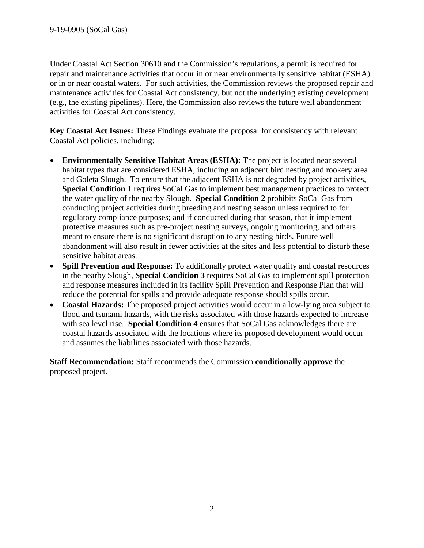Under Coastal Act Section 30610 and the Commission's regulations, a permit is required for repair and maintenance activities that occur in or near environmentally sensitive habitat (ESHA) or in or near coastal waters. For such activities, the Commission reviews the proposed repair and maintenance activities for Coastal Act consistency, but not the underlying existing development (e.g., the existing pipelines). Here, the Commission also reviews the future well abandonment activities for Coastal Act consistency.

**Key Coastal Act Issues:** These Findings evaluate the proposal for consistency with relevant Coastal Act policies, including:

- **Environmentally Sensitive Habitat Areas (ESHA):** The project is located near several habitat types that are considered ESHA, including an adjacent bird nesting and rookery area and Goleta Slough. To ensure that the adjacent ESHA is not degraded by project activities, **Special Condition 1** requires SoCal Gas to implement best management practices to protect the water quality of the nearby Slough. **Special Condition 2** prohibits SoCal Gas from conducting project activities during breeding and nesting season unless required to for regulatory compliance purposes; and if conducted during that season, that it implement protective measures such as pre-project nesting surveys, ongoing monitoring, and others meant to ensure there is no significant disruption to any nesting birds. Future well abandonment will also result in fewer activities at the sites and less potential to disturb these sensitive habitat areas.
- **Spill Prevention and Response:** To additionally protect water quality and coastal resources in the nearby Slough, **Special Condition 3** requires SoCal Gas to implement spill protection and response measures included in its facility Spill Prevention and Response Plan that will reduce the potential for spills and provide adequate response should spills occur.
- **Coastal Hazards:** The proposed project activities would occur in a low-lying area subject to flood and tsunami hazards, with the risks associated with those hazards expected to increase with sea level rise. **Special Condition 4** ensures that SoCal Gas acknowledges there are coastal hazards associated with the locations where its proposed development would occur and assumes the liabilities associated with those hazards.

**Staff Recommendation:** Staff recommends the Commission **conditionally approve** the proposed project.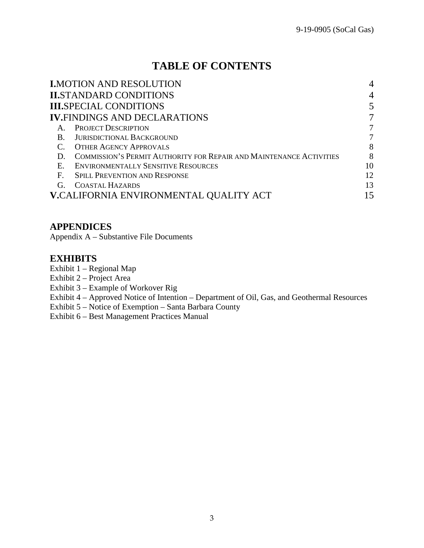# **TABLE OF CONTENTS**

|              | <b>I.MOTION AND RESOLUTION</b>                                             | $\overline{4}$ |
|--------------|----------------------------------------------------------------------------|----------------|
|              | <b>II.STANDARD CONDITIONS</b>                                              | $\overline{4}$ |
|              | <b>III.SPECIAL CONDITIONS</b>                                              |                |
|              | <b>IV.FINDINGS AND DECLARATIONS</b>                                        |                |
|              | <b>PROJECT DESCRIPTION</b>                                                 |                |
| B.           | <b>JURISDICTIONAL BACKGROUND</b>                                           |                |
|              | <b>OTHER AGENCY APPROVALS</b>                                              | 8              |
| $\Box$       | <b>COMMISSION'S PERMIT AUTHORITY FOR REPAIR AND MAINTENANCE ACTIVITIES</b> | 8              |
| $E_{\rm{r}}$ | <b>ENVIRONMENTALLY SENSITIVE RESOURCES</b>                                 | 10             |
| $F_{\rm{L}}$ | <b>SPILL PREVENTION AND RESPONSE</b>                                       | 12             |
| $G_{\cdot}$  | <b>COASTAL HAZARDS</b>                                                     | 13             |
|              | <b>V.CALIFORNIA ENVIRONMENTAL QUALITY ACT</b>                              |                |

## **APPENDICES**

Appendix A – Substantive File Documents

## **EXHIBITS**

Exhibit 1 – Regional Map

- Exhibit 2 Project Area
- Exhibit 3 Example of Workover Rig
- Exhibit 4 Approved Notice of Intention Department of Oil, Gas, and Geothermal Resources
- Exhibit 5 Notice of Exemption Santa Barbara County
- Exhibit 6 Best Management Practices Manual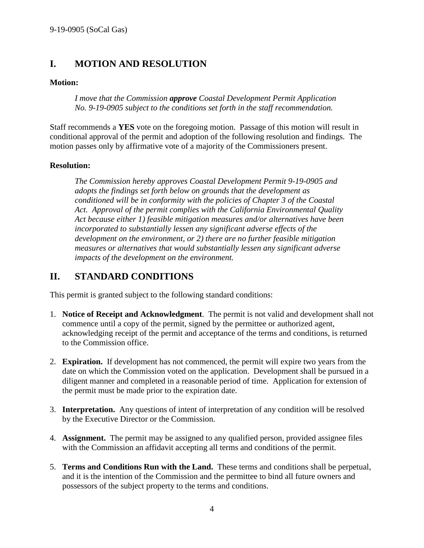# <span id="page-4-0"></span>**I. MOTION AND RESOLUTION**

#### **Motion:**

*I move that the Commission approve Coastal Development Permit Application No. 9-19-0905 subject to the conditions set forth in the staff recommendation.*

Staff recommends a **YES** vote on the foregoing motion. Passage of this motion will result in conditional approval of the permit and adoption of the following resolution and findings. The motion passes only by affirmative vote of a majority of the Commissioners present.

#### **Resolution:**

*The Commission hereby approves Coastal Development Permit 9-19-0905 and adopts the findings set forth below on grounds that the development as conditioned will be in conformity with the policies of Chapter 3 of the Coastal Act. Approval of the permit complies with the California Environmental Quality Act because either 1) feasible mitigation measures and/or alternatives have been incorporated to substantially lessen any significant adverse effects of the development on the environment, or 2) there are no further feasible mitigation measures or alternatives that would substantially lessen any significant adverse impacts of the development on the environment.*

# <span id="page-4-1"></span>**II. STANDARD CONDITIONS**

This permit is granted subject to the following standard conditions:

- 1. **Notice of Receipt and Acknowledgment**. The permit is not valid and development shall not commence until a copy of the permit, signed by the permittee or authorized agent, acknowledging receipt of the permit and acceptance of the terms and conditions, is returned to the Commission office.
- 2. **Expiration.** If development has not commenced, the permit will expire two years from the date on which the Commission voted on the application. Development shall be pursued in a diligent manner and completed in a reasonable period of time. Application for extension of the permit must be made prior to the expiration date.
- 3. **Interpretation.** Any questions of intent of interpretation of any condition will be resolved by the Executive Director or the Commission.
- 4. **Assignment.** The permit may be assigned to any qualified person, provided assignee files with the Commission an affidavit accepting all terms and conditions of the permit.
- 5. **Terms and Conditions Run with the Land.** These terms and conditions shall be perpetual, and it is the intention of the Commission and the permittee to bind all future owners and possessors of the subject property to the terms and conditions.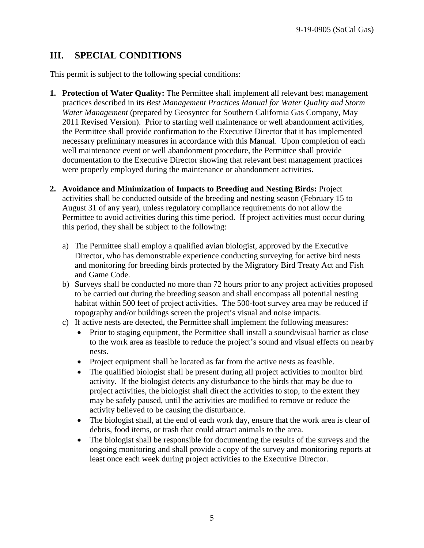# <span id="page-5-0"></span>**III. SPECIAL CONDITIONS**

This permit is subject to the following special conditions:

- **1. Protection of Water Quality:** The Permittee shall implement all relevant best management practices described in its *Best Management Practices Manual for Water Quality and Storm Water Management* (prepared by Geosyntec for Southern California Gas Company, May 2011 Revised Version). Prior to starting well maintenance or well abandonment activities, the Permittee shall provide confirmation to the Executive Director that it has implemented necessary preliminary measures in accordance with this Manual. Upon completion of each well maintenance event or well abandonment procedure, the Permittee shall provide documentation to the Executive Director showing that relevant best management practices were properly employed during the maintenance or abandonment activities.
- **2. Avoidance and Minimization of Impacts to Breeding and Nesting Birds:** Project activities shall be conducted outside of the breeding and nesting season (February 15 to August 31 of any year), unless regulatory compliance requirements do not allow the Permittee to avoid activities during this time period. If project activities must occur during this period, they shall be subject to the following:
	- a) The Permittee shall employ a qualified avian biologist, approved by the Executive Director, who has demonstrable experience conducting surveying for active bird nests and monitoring for breeding birds protected by the Migratory Bird Treaty Act and Fish and Game Code.
	- b) Surveys shall be conducted no more than 72 hours prior to any project activities proposed to be carried out during the breeding season and shall encompass all potential nesting habitat within 500 feet of project activities. The 500-foot survey area may be reduced if topography and/or buildings screen the project's visual and noise impacts.
	- c) If active nests are detected, the Permittee shall implement the following measures:
		- Prior to staging equipment, the Permittee shall install a sound/visual barrier as close to the work area as feasible to reduce the project's sound and visual effects on nearby nests.
		- Project equipment shall be located as far from the active nests as feasible.
		- The qualified biologist shall be present during all project activities to monitor bird activity. If the biologist detects any disturbance to the birds that may be due to project activities, the biologist shall direct the activities to stop, to the extent they may be safely paused, until the activities are modified to remove or reduce the activity believed to be causing the disturbance.
		- The biologist shall, at the end of each work day, ensure that the work area is clear of debris, food items, or trash that could attract animals to the area.
		- The biologist shall be responsible for documenting the results of the surveys and the ongoing monitoring and shall provide a copy of the survey and monitoring reports at least once each week during project activities to the Executive Director.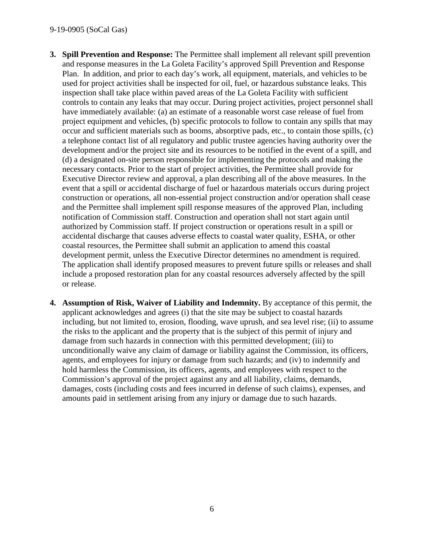#### 9-19-0905 (SoCal Gas)

- **3. Spill Prevention and Response:** The Permittee shall implement all relevant spill prevention and response measures in the La Goleta Facility's approved Spill Prevention and Response Plan. In addition, and prior to each day's work, all equipment, materials, and vehicles to be used for project activities shall be inspected for oil, fuel, or hazardous substance leaks. This inspection shall take place within paved areas of the La Goleta Facility with sufficient controls to contain any leaks that may occur. During project activities, project personnel shall have immediately available: (a) an estimate of a reasonable worst case release of fuel from project equipment and vehicles, (b) specific protocols to follow to contain any spills that may occur and sufficient materials such as booms, absorptive pads, etc., to contain those spills, (c) a telephone contact list of all regulatory and public trustee agencies having authority over the development and/or the project site and its resources to be notified in the event of a spill, and (d) a designated on-site person responsible for implementing the protocols and making the necessary contacts. Prior to the start of project activities, the Permittee shall provide for Executive Director review and approval, a plan describing all of the above measures. In the event that a spill or accidental discharge of fuel or hazardous materials occurs during project construction or operations, all non-essential project construction and/or operation shall cease and the Permittee shall implement spill response measures of the approved Plan, including notification of Commission staff. Construction and operation shall not start again until authorized by Commission staff. If project construction or operations result in a spill or accidental discharge that causes adverse effects to coastal water quality, ESHA, or other coastal resources, the Permittee shall submit an application to amend this coastal development permit, unless the Executive Director determines no amendment is required. The application shall identify proposed measures to prevent future spills or releases and shall include a proposed restoration plan for any coastal resources adversely affected by the spill or release.
- **4. Assumption of Risk, Waiver of Liability and Indemnity.** By acceptance of this permit, the applicant acknowledges and agrees (i) that the site may be subject to coastal hazards including, but not limited to, erosion, flooding, wave uprush, and sea level rise; (ii) to assume the risks to the applicant and the property that is the subject of this permit of injury and damage from such hazards in connection with this permitted development; (iii) to unconditionally waive any claim of damage or liability against the Commission, its officers, agents, and employees for injury or damage from such hazards; and (iv) to indemnify and hold harmless the Commission, its officers, agents, and employees with respect to the Commission's approval of the project against any and all liability, claims, demands, damages, costs (including costs and fees incurred in defense of such claims), expenses, and amounts paid in settlement arising from any injury or damage due to such hazards.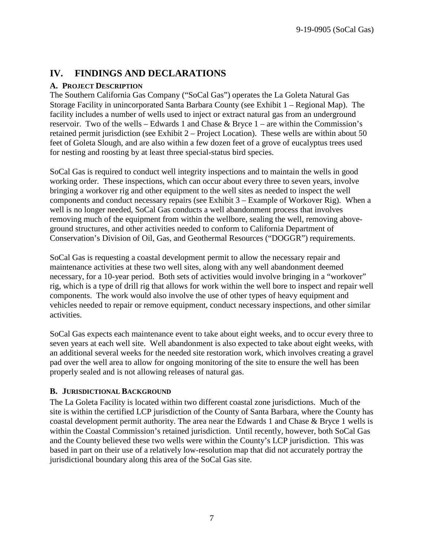# <span id="page-7-0"></span>**IV. FINDINGS AND DECLARATIONS**

#### <span id="page-7-1"></span>**A. PROJECT DESCRIPTION**

The Southern California Gas Company ("SoCal Gas") operates the La Goleta Natural Gas Storage Facility in unincorporated Santa Barbara County (see Exhibit 1 – Regional Map). The facility includes a number of wells used to inject or extract natural gas from an underground reservoir. Two of the wells – Edwards 1 and Chase  $\&$  Bryce 1 – are within the Commission's retained permit jurisdiction (see Exhibit 2 – Project Location). These wells are within about 50 feet of Goleta Slough, and are also within a few dozen feet of a grove of eucalyptus trees used for nesting and roosting by at least three special-status bird species.

SoCal Gas is required to conduct well integrity inspections and to maintain the wells in good working order. These inspections, which can occur about every three to seven years, involve bringing a workover rig and other equipment to the well sites as needed to inspect the well components and conduct necessary repairs (see Exhibit 3 – Example of Workover Rig). When a well is no longer needed, SoCal Gas conducts a well abandonment process that involves removing much of the equipment from within the wellbore, sealing the well, removing aboveground structures, and other activities needed to conform to California Department of Conservation's Division of Oil, Gas, and Geothermal Resources ("DOGGR") requirements.

SoCal Gas is requesting a coastal development permit to allow the necessary repair and maintenance activities at these two well sites, along with any well abandonment deemed necessary, for a 10-year period. Both sets of activities would involve bringing in a "workover" rig, which is a type of drill rig that allows for work within the well bore to inspect and repair well components. The work would also involve the use of other types of heavy equipment and vehicles needed to repair or remove equipment, conduct necessary inspections, and other similar activities.

SoCal Gas expects each maintenance event to take about eight weeks, and to occur every three to seven years at each well site. Well abandonment is also expected to take about eight weeks, with an additional several weeks for the needed site restoration work, which involves creating a gravel pad over the well area to allow for ongoing monitoring of the site to ensure the well has been properly sealed and is not allowing releases of natural gas.

## <span id="page-7-2"></span>**B. JURISDICTIONAL BACKGROUND**

The La Goleta Facility is located within two different coastal zone jurisdictions. Much of the site is within the certified LCP jurisdiction of the County of Santa Barbara, where the County has coastal development permit authority. The area near the Edwards 1 and Chase & Bryce 1 wells is within the Coastal Commission's retained jurisdiction. Until recently, however, both SoCal Gas and the County believed these two wells were within the County's LCP jurisdiction. This was based in part on their use of a relatively low-resolution map that did not accurately portray the jurisdictional boundary along this area of the SoCal Gas site.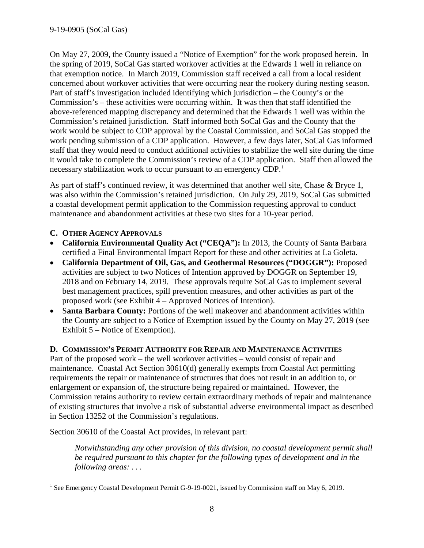On May 27, 2009, the County issued a "Notice of Exemption" for the work proposed herein. In the spring of 2019, SoCal Gas started workover activities at the Edwards 1 well in reliance on that exemption notice. In March 2019, Commission staff received a call from a local resident concerned about workover activities that were occurring near the rookery during nesting season. Part of staff's investigation included identifying which jurisdiction – the County's or the Commission's – these activities were occurring within. It was then that staff identified the above-referenced mapping discrepancy and determined that the Edwards 1 well was within the Commission's retained jurisdiction. Staff informed both SoCal Gas and the County that the work would be subject to CDP approval by the Coastal Commission, and SoCal Gas stopped the work pending submission of a CDP application. However, a few days later, SoCal Gas informed staff that they would need to conduct additional activities to stabilize the well site during the time it would take to complete the Commission's review of a CDP application. Staff then allowed the necessary stabilization work to occur pursuant to an emergency CDP.<sup>[1](#page-8-2)</sup>

As part of staff's continued review, it was determined that another well site, Chase & Bryce 1, was also within the Commission's retained jurisdiction. On July 29, 2019, SoCal Gas submitted a coastal development permit application to the Commission requesting approval to conduct maintenance and abandonment activities at these two sites for a 10-year period.

## <span id="page-8-0"></span>**C. OTHER AGENCY APPROVALS**

- **California Environmental Quality Act ("CEQA"):** In 2013, the County of Santa Barbara certified a Final Environmental Impact Report for these and other activities at La Goleta.
- **California Department of Oil, Gas, and Geothermal Resources ("DOGGR"):** Proposed activities are subject to two Notices of Intention approved by DOGGR on September 19, 2018 and on February 14, 2019. These approvals require SoCal Gas to implement several best management practices, spill prevention measures, and other activities as part of the proposed work (see Exhibit 4 – Approved Notices of Intention).
- S**anta Barbara County:** Portions of the well makeover and abandonment activities within the County are subject to a Notice of Exemption issued by the County on May 27, 2019 (see Exhibit 5 – Notice of Exemption).

## <span id="page-8-1"></span>**D. COMMISSION'S PERMIT AUTHORITY FOR REPAIR AND MAINTENANCE ACTIVITIES**

Part of the proposed work – the well workover activities – would consist of repair and maintenance. Coastal Act Section 30610(d) generally exempts from Coastal Act permitting requirements the repair or maintenance of structures that does not result in an addition to, or enlargement or expansion of, the structure being repaired or maintained. However, the Commission retains authority to review certain extraordinary methods of repair and maintenance of existing structures that involve a risk of substantial adverse environmental impact as described in Section 13252 of the Commission's regulations.

Section 30610 of the Coastal Act provides, in relevant part:

*Notwithstanding any other provision of this division, no coastal development permit shall be required pursuant to this chapter for the following types of development and in the following areas: . . .*

<span id="page-8-2"></span> $\ddot{\phantom{a}}$  $1$  See Emergency Coastal Development Permit G-9-19-0021, issued by Commission staff on May 6, 2019.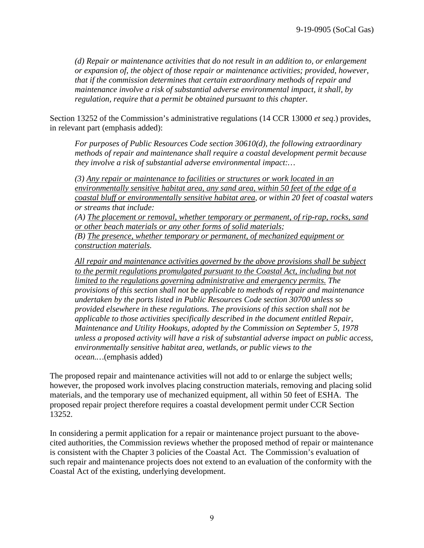*(d) Repair or maintenance activities that do not result in an addition to, or enlargement or expansion of, the object of those repair or maintenance activities; provided, however, that if the commission determines that certain extraordinary methods of repair and maintenance involve a risk of substantial adverse environmental impact, it shall, by regulation, require that a permit be obtained pursuant to this chapter.*

Section 13252 of the Commission's administrative regulations (14 CCR 13000 *et seq*.) provides, in relevant part (emphasis added):

*For purposes of Public Resources Code section 30610(d), the following extraordinary methods of repair and maintenance shall require a coastal development permit because they involve a risk of substantial adverse environmental impact:…*

*(3) Any repair or maintenance to facilities or structures or work located in an environmentally sensitive habitat area, any sand area, within 50 feet of the edge of a coastal bluff or environmentally sensitive habitat area, or within 20 feet of coastal waters or streams that include:*

*(A) The placement or removal, whether temporary or permanent, of rip-rap, rocks, sand or other beach materials or any other forms of solid materials;*

*(B) The presence, whether temporary or permanent, of mechanized equipment or construction materials.*

*All repair and maintenance activities governed by the above provisions shall be subject*  to the permit regulations promulgated pursuant to the Coastal Act, including but not *limited to the regulations governing administrative and emergency permits. The provisions of this section shall not be applicable to methods of repair and maintenance undertaken by the ports listed in Public Resources Code section 30700 unless so provided elsewhere in these regulations. The provisions of this section shall not be applicable to those activities specifically described in the document entitled Repair, Maintenance and Utility Hookups, adopted by the Commission on September 5, 1978 unless a proposed activity will have a risk of substantial adverse impact on public access, environmentally sensitive habitat area, wetlands, or public views to the ocean.…*(emphasis added)

The proposed repair and maintenance activities will not add to or enlarge the subject wells; however, the proposed work involves placing construction materials, removing and placing solid materials, and the temporary use of mechanized equipment, all within 50 feet of ESHA. The proposed repair project therefore requires a coastal development permit under CCR Section 13252.

In considering a permit application for a repair or maintenance project pursuant to the abovecited authorities, the Commission reviews whether the proposed method of repair or maintenance is consistent with the Chapter 3 policies of the Coastal Act. The Commission's evaluation of such repair and maintenance projects does not extend to an evaluation of the conformity with the Coastal Act of the existing, underlying development.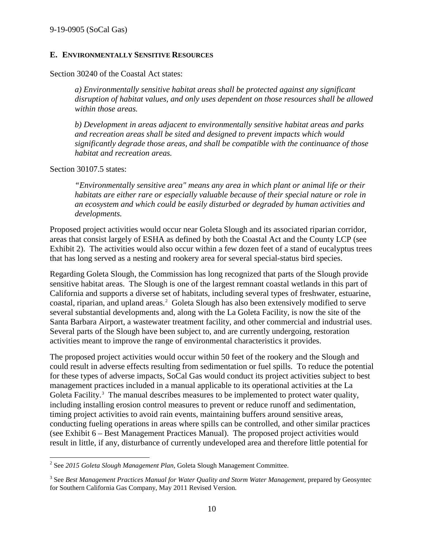#### <span id="page-10-0"></span>**E. ENVIRONMENTALLY SENSITIVE RESOURCES**

Section 30240 of the Coastal Act states:

*a) Environmentally sensitive habitat areas shall be protected against any significant disruption of habitat values, and only uses dependent on those resources shall be allowed within those areas.*

*b) Development in areas adjacent to environmentally sensitive habitat areas and parks and recreation areas shall be sited and designed to prevent impacts which would significantly degrade those areas, and shall be compatible with the continuance of those habitat and recreation areas.*

Section 30107.5 states:

 $\ddot{\phantom{a}}$ 

*"Environmentally sensitive area" means any area in which plant or animal life or their habitats are either rare or especially valuable because of their special nature or role in an ecosystem and which could be easily disturbed or degraded by human activities and developments.*

Proposed project activities would occur near Goleta Slough and its associated riparian corridor, areas that consist largely of ESHA as defined by both the Coastal Act and the County LCP (see Exhibit 2). The activities would also occur within a few dozen feet of a stand of eucalyptus trees that has long served as a nesting and rookery area for several special-status bird species.

Regarding Goleta Slough, the Commission has long recognized that parts of the Slough provide sensitive habitat areas. The Slough is one of the largest remnant coastal wetlands in this part of California and supports a diverse set of habitats, including several types of freshwater, estuarine, coastal, riparian, and upland areas.<sup>[2](#page-10-1)</sup> Goleta Slough has also been extensively modified to serve several substantial developments and, along with the La Goleta Facility, is now the site of the Santa Barbara Airport, a wastewater treatment facility, and other commercial and industrial uses. Several parts of the Slough have been subject to, and are currently undergoing, restoration activities meant to improve the range of environmental characteristics it provides.

The proposed project activities would occur within 50 feet of the rookery and the Slough and could result in adverse effects resulting from sedimentation or fuel spills. To reduce the potential for these types of adverse impacts, SoCal Gas would conduct its project activities subject to best management practices included in a manual applicable to its operational activities at the La Goleta Facility. $3$  The manual describes measures to be implemented to protect water quality, including installing erosion control measures to prevent or reduce runoff and sedimentation, timing project activities to avoid rain events, maintaining buffers around sensitive areas, conducting fueling operations in areas where spills can be controlled, and other similar practices (see Exhibit 6 – Best Management Practices Manual). The proposed project activities would result in little, if any, disturbance of currently undeveloped area and therefore little potential for

<span id="page-10-1"></span><sup>2</sup> See *2015 Goleta Slough Management Plan*, Goleta Slough Management Committee.

<span id="page-10-2"></span><sup>&</sup>lt;sup>3</sup> See *Best Management Practices Manual for Water Quality and Storm Water Management*, prepared by Geosyntec for Southern California Gas Company, May 2011 Revised Version.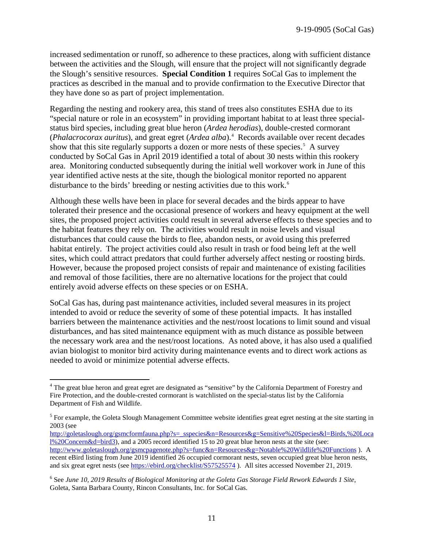increased sedimentation or runoff, so adherence to these practices, along with sufficient distance between the activities and the Slough, will ensure that the project will not significantly degrade the Slough's sensitive resources. **Special Condition 1** requires SoCal Gas to implement the practices as described in the manual and to provide confirmation to the Executive Director that they have done so as part of project implementation.

Regarding the nesting and rookery area, this stand of trees also constitutes ESHA due to its "special nature or role in an ecosystem" in providing important habitat to at least three specialstatus bird species, including great blue heron (*Ardea herodias*), double-crested cormorant (*Phalacrocorax auritus*), and great egret (*Ardea alba*).<sup>[4](#page-11-0)</sup> Records available over recent decades show that this site regularly supports a dozen or more nests of these species.<sup>[5](#page-11-1)</sup> A survey conducted by SoCal Gas in April 2019 identified a total of about 30 nests within this rookery area. Monitoring conducted subsequently during the initial well workover work in June of this year identified active nests at the site, though the biological monitor reported no apparent disturbance to the birds' breeding or nesting activities due to this work. [6](#page-11-2)

Although these wells have been in place for several decades and the birds appear to have tolerated their presence and the occasional presence of workers and heavy equipment at the well sites, the proposed project activities could result in several adverse effects to these species and to the habitat features they rely on. The activities would result in noise levels and visual disturbances that could cause the birds to flee, abandon nests, or avoid using this preferred habitat entirely. The project activities could also result in trash or food being left at the well sites, which could attract predators that could further adversely affect nesting or roosting birds. However, because the proposed project consists of repair and maintenance of existing facilities and removal of those facilities, there are no alternative locations for the project that could entirely avoid adverse effects on these species or on ESHA.

SoCal Gas has, during past maintenance activities, included several measures in its project intended to avoid or reduce the severity of some of these potential impacts. It has installed barriers between the maintenance activities and the nest/roost locations to limit sound and visual disturbances, and has sited maintenance equipment with as much distance as possible between the necessary work area and the nest/roost locations. As noted above, it has also used a qualified avian biologist to monitor bird activity during maintenance events and to direct work actions as needed to avoid or minimize potential adverse effects.

 $\overline{a}$ 

<span id="page-11-0"></span><sup>&</sup>lt;sup>4</sup> The great blue heron and great egret are designated as "sensitive" by the California Department of Forestry and Fire Protection, and the double-crested cormorant is watchlisted on the special-status list by the California Department of Fish and Wildlife.

<span id="page-11-1"></span> $<sup>5</sup>$  For example, the Goleta Slough Management Committee website identifies great egret nesting at the site starting in</sup> 2003 (see

[http://goletaslough.org/gsmcformfauna.php?s=\\_sspecies&n=Resources&g=Sensitive%20Species&l=Birds,%20Loca](http://goletaslough.org/gsmcformfauna.php?s=_sspecies&n=Resources&g=Sensitive%20Species&l=Birds,%20Local%20Concern&d=bird3) [l%20Concern&d=bird3\)](http://goletaslough.org/gsmcformfauna.php?s=_sspecies&n=Resources&g=Sensitive%20Species&l=Birds,%20Local%20Concern&d=bird3), and a 2005 record identified 15 to 20 great blue heron nests at the site (see: <http://www.goletaslough.org/gsmcpagenote.php?s=func&n=Resources&g=Notable%20Wildlife%20Functions> ). A recent eBird listing from June 2019 identified 26 occupied cormorant nests, seven occupied great blue heron nests, and six great egret nests (see<https://ebird.org/checklist/S57525574> ). All sites accessed November 21, 2019.

<span id="page-11-2"></span><sup>6</sup> See *June 10, 2019 Results of Biological Monitoring at the Goleta Gas Storage Field Rework Edwards 1 Site*, Goleta, Santa Barbara County, Rincon Consultants, Inc. for SoCal Gas.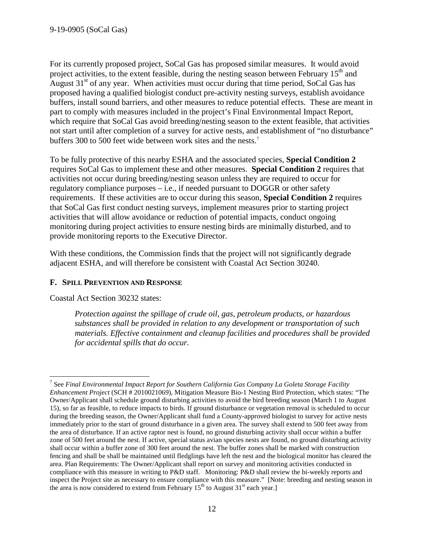For its currently proposed project, SoCal Gas has proposed similar measures. It would avoid project activities, to the extent feasible, during the nesting season between February 15<sup>th</sup> and August  $31<sup>st</sup>$  of any year. When activities must occur during that time period, SoCal Gas has proposed having a qualified biologist conduct pre-activity nesting surveys, establish avoidance buffers, install sound barriers, and other measures to reduce potential effects. These are meant in part to comply with measures included in the project's Final Environmental Impact Report, which require that SoCal Gas avoid breeding/nesting season to the extent feasible, that activities not start until after completion of a survey for active nests, and establishment of "no disturbance" buffers 300 to 500 feet wide between work sites and the nests.<sup>[7](#page-12-1)</sup>

To be fully protective of this nearby ESHA and the associated species, **Special Condition 2** requires SoCal Gas to implement these and other measures. **Special Condition 2** requires that activities not occur during breeding/nesting season unless they are required to occur for regulatory compliance purposes – i.e., if needed pursuant to DOGGR or other safety requirements. If these activities are to occur during this season, **Special Condition 2** requires that SoCal Gas first conduct nesting surveys, implement measures prior to starting project activities that will allow avoidance or reduction of potential impacts, conduct ongoing monitoring during project activities to ensure nesting birds are minimally disturbed, and to provide monitoring reports to the Executive Director.

With these conditions, the Commission finds that the project will not significantly degrade adjacent ESHA, and will therefore be consistent with Coastal Act Section 30240.

## <span id="page-12-0"></span>**F. SPILL PREVENTION AND RESPONSE**

Coastal Act Section 30232 states:

*Protection against the spillage of crude oil, gas, petroleum products, or hazardous substances shall be provided in relation to any development or transportation of such materials. Effective containment and cleanup facilities and procedures shall be provided for accidental spills that do occur.*

<span id="page-12-1"></span> $\overline{a}$ <sup>7</sup> See *Final Environmental Impact Report for Southern California Gas Company La Goleta Storage Facility Enhancement Project* (SCH # 2010021069), Mitigation Measure Bio-1 Nesting Bird Protection, which states: "The Owner/Applicant shall schedule ground disturbing activities to avoid the bird breeding season (March 1 to August 15), so far as feasible, to reduce impacts to birds. If ground disturbance or vegetation removal is scheduled to occur during the breeding season, the Owner/Applicant shall fund a County-approved biologist to survey for active nests immediately prior to the start of ground disturbance in a given area. The survey shall extend to 500 feet away from the area of disturbance. If an active raptor nest is found, no ground disturbing activity shall occur within a buffer zone of 500 feet around the nest. If active, special status avian species nests are found, no ground disturbing activity shall occur within a buffer zone of 300 feet around the nest. The buffer zones shall be marked with construction fencing and shall be shall be maintained until fledglings have left the nest and the biological monitor has cleared the area. Plan Requirements: The Owner/Applicant shall report on survey and monitoring activities conducted in compliance with this measure in writing to P&D staff. Monitoring: P&D shall review the bi-weekly reports and inspect the Project site as necessary to ensure compliance with this measure." [Note: breeding and nesting season in the area is now considered to extend from February  $15<sup>th</sup>$  to August  $31<sup>st</sup>$  each year.]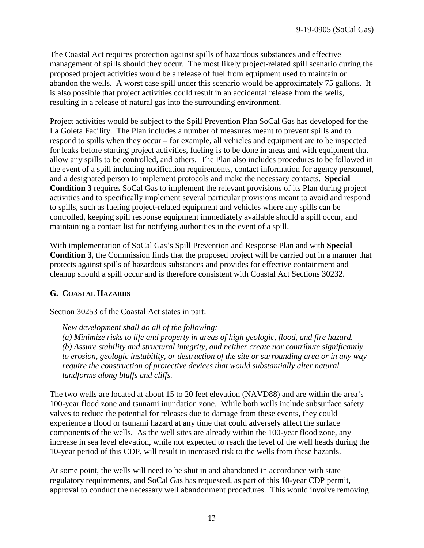The Coastal Act requires protection against spills of hazardous substances and effective management of spills should they occur. The most likely project-related spill scenario during the proposed project activities would be a release of fuel from equipment used to maintain or abandon the wells. A worst case spill under this scenario would be approximately 75 gallons. It is also possible that project activities could result in an accidental release from the wells, resulting in a release of natural gas into the surrounding environment.

Project activities would be subject to the Spill Prevention Plan SoCal Gas has developed for the La Goleta Facility. The Plan includes a number of measures meant to prevent spills and to respond to spills when they occur – for example, all vehicles and equipment are to be inspected for leaks before starting project activities, fueling is to be done in areas and with equipment that allow any spills to be controlled, and others. The Plan also includes procedures to be followed in the event of a spill including notification requirements, contact information for agency personnel, and a designated person to implement protocols and make the necessary contacts. **Special Condition 3** requires SoCal Gas to implement the relevant provisions of its Plan during project activities and to specifically implement several particular provisions meant to avoid and respond to spills, such as fueling project-related equipment and vehicles where any spills can be controlled, keeping spill response equipment immediately available should a spill occur, and maintaining a contact list for notifying authorities in the event of a spill.

With implementation of SoCal Gas's Spill Prevention and Response Plan and with **Special Condition 3**, the Commission finds that the proposed project will be carried out in a manner that protects against spills of hazardous substances and provides for effective containment and cleanup should a spill occur and is therefore consistent with Coastal Act Sections 30232.

## <span id="page-13-0"></span>**G. COASTAL HAZARDS**

Section 30253 of the Coastal Act states in part:

*New development shall do all of the following:* 

*(a) Minimize risks to life and property in areas of high geologic, flood, and fire hazard. (b) Assure stability and structural integrity, and neither create nor contribute significantly to erosion, geologic instability, or destruction of the site or surrounding area or in any way require the construction of protective devices that would substantially alter natural landforms along bluffs and cliffs.*

The two wells are located at about 15 to 20 feet elevation (NAVD88) and are within the area's 100-year flood zone and tsunami inundation zone. While both wells include subsurface safety valves to reduce the potential for releases due to damage from these events, they could experience a flood or tsunami hazard at any time that could adversely affect the surface components of the wells. As the well sites are already within the 100-year flood zone, any increase in sea level elevation, while not expected to reach the level of the well heads during the 10-year period of this CDP, will result in increased risk to the wells from these hazards.

At some point, the wells will need to be shut in and abandoned in accordance with state regulatory requirements, and SoCal Gas has requested, as part of this 10-year CDP permit, approval to conduct the necessary well abandonment procedures. This would involve removing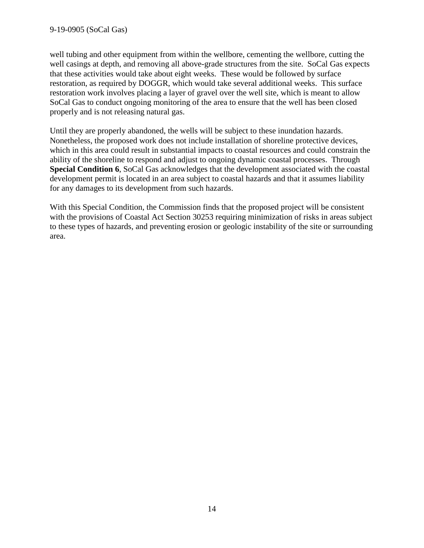#### 9-19-0905 (SoCal Gas)

well tubing and other equipment from within the wellbore, cementing the wellbore, cutting the well casings at depth, and removing all above-grade structures from the site. SoCal Gas expects that these activities would take about eight weeks. These would be followed by surface restoration, as required by DOGGR, which would take several additional weeks. This surface restoration work involves placing a layer of gravel over the well site, which is meant to allow SoCal Gas to conduct ongoing monitoring of the area to ensure that the well has been closed properly and is not releasing natural gas.

Until they are properly abandoned, the wells will be subject to these inundation hazards. Nonetheless, the proposed work does not include installation of shoreline protective devices, which in this area could result in substantial impacts to coastal resources and could constrain the ability of the shoreline to respond and adjust to ongoing dynamic coastal processes. Through **Special Condition 6**, SoCal Gas acknowledges that the development associated with the coastal development permit is located in an area subject to coastal hazards and that it assumes liability for any damages to its development from such hazards.

With this Special Condition, the Commission finds that the proposed project will be consistent with the provisions of Coastal Act Section 30253 requiring minimization of risks in areas subject to these types of hazards, and preventing erosion or geologic instability of the site or surrounding area.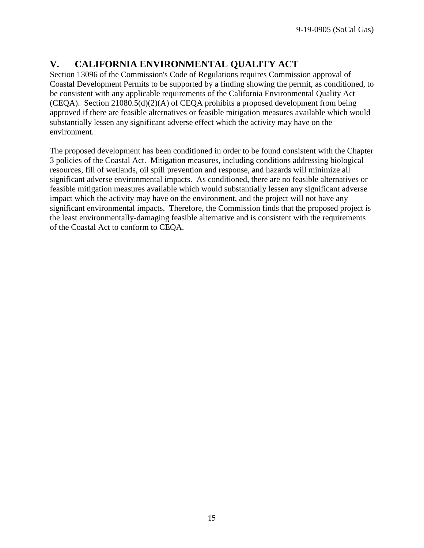# <span id="page-15-0"></span>**V. CALIFORNIA ENVIRONMENTAL QUALITY ACT**

Section 13096 of the Commission's Code of Regulations requires Commission approval of Coastal Development Permits to be supported by a finding showing the permit, as conditioned, to be consistent with any applicable requirements of the California Environmental Quality Act (CEQA). Section 21080.5(d)(2)(A) of CEQA prohibits a proposed development from being approved if there are feasible alternatives or feasible mitigation measures available which would substantially lessen any significant adverse effect which the activity may have on the environment.

The proposed development has been conditioned in order to be found consistent with the Chapter 3 policies of the Coastal Act. Mitigation measures, including conditions addressing biological resources, fill of wetlands, oil spill prevention and response, and hazards will minimize all significant adverse environmental impacts. As conditioned, there are no feasible alternatives or feasible mitigation measures available which would substantially lessen any significant adverse impact which the activity may have on the environment, and the project will not have any significant environmental impacts. Therefore, the Commission finds that the proposed project is the least environmentally-damaging feasible alternative and is consistent with the requirements of the Coastal Act to conform to CEQA.